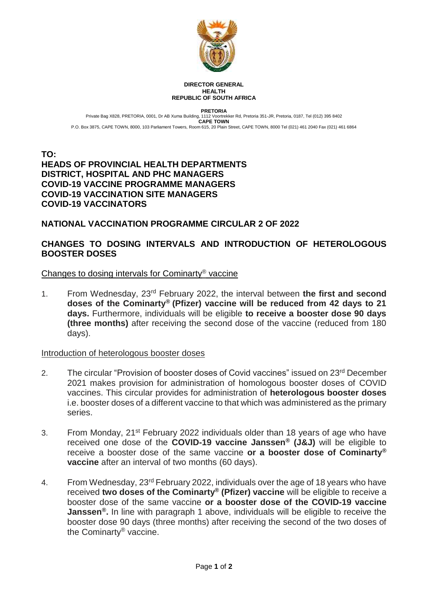

#### **DIRECTOR GENERAL HEALTH REPUBLIC OF SOUTH AFRICA**

**PRETORIA** Private Bag X828, PRETORIA, 0001, Dr AB Xuma Building, 1112 Voortrekker Rd, Pretoria 351-JR, Pretoria, 0187, Tel (012) 395 8402 **CAPE TOWN** P.O. Box 3875, CAPE TOWN, 8000, 103 Parliament Towers, Room 615, 20 Plain Street, CAPE TOWN, 8000 Tel (021) 461 2040 Fax (021) 461 6864

### **TO: HEADS OF PROVINCIAL HEALTH DEPARTMENTS DISTRICT, HOSPITAL AND PHC MANAGERS COVID-19 VACCINE PROGRAMME MANAGERS COVID-19 VACCINATION SITE MANAGERS COVID-19 VACCINATORS**

# **NATIONAL VACCINATION PROGRAMME CIRCULAR 2 OF 2022**

# **CHANGES TO DOSING INTERVALS AND INTRODUCTION OF HETEROLOGOUS BOOSTER DOSES**

## Changes to dosing intervals for Cominarty® vaccine

1. From Wednesday, 23rd February 2022, the interval between **the first and second doses of the Cominarty® (Pfizer) vaccine will be reduced from 42 days to 21 days.** Furthermore, individuals will be eligible **to receive a booster dose 90 days (three months)** after receiving the second dose of the vaccine (reduced from 180 days).

### Introduction of heterologous booster doses

- 2. The circular "Provision of booster doses of Covid vaccines" issued on 23<sup>rd</sup> December 2021 makes provision for administration of homologous booster doses of COVID vaccines. This circular provides for administration of **heterologous booster doses** i.e. booster doses of a different vaccine to that which was administered as the primary series.
- 3. From Monday, 21st February 2022 individuals older than 18 years of age who have received one dose of the **COVID-19 vaccine Janssen® (J&J)** will be eligible to receive a booster dose of the same vaccine **or a booster dose of Cominarty® vaccine** after an interval of two months (60 days).
- 4. From Wednesday, 23<sup>rd</sup> February 2022, individuals over the age of 18 years who have received **two doses of the Cominarty® (Pfizer) vaccine** will be eligible to receive a booster dose of the same vaccine **or a booster dose of the COVID-19 vaccine Janssen®.** In line with paragraph 1 above, individuals will be eligible to receive the booster dose 90 days (three months) after receiving the second of the two doses of the Cominarty® vaccine.